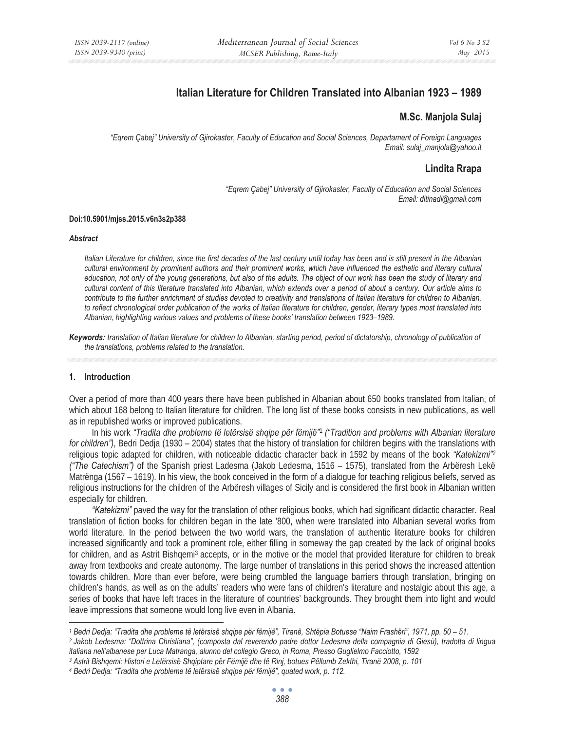# **Italian Literature for Children Translated into Albanian 1923 – 1989**

# **M.Sc. Manjola Sulaj**

*"Eqrem Çabej" University of Gjirokaster, Faculty of Education and Social Sciences, Departament of Foreign Languages Email: sulaj\_manjola@yahoo.it* 

# **Lindita Rrapa**

*"Eqrem Çabej" University of Gjirokaster, Faculty of Education and Social Sciences Email: ditinadi@gmail.com* 

#### **Doi:10.5901/mjss.2015.v6n3s2p388**

#### *Abstract*

*Italian Literature for children, since the first decades of the last century until today has been and is still present in the Albanian cultural environment by prominent authors and their prominent works, which have influenced the esthetic and literary cultural education, not only of the young generations, but also of the adults. The object of our work has been the study of literary and cultural content of this literature translated into Albanian, which extends over a period of about a century. Our article aims to contribute to the further enrichment of studies devoted to creativity and translations of Italian literature for children to Albanian, to reflect chronological order publication of the works of Italian literature for children, gender, literary types most translated into Albanian, highlighting various values and problems of these books' translation between 1923–1989.* 

*Keywords: translation of Italian literature for children to Albanian, starting period, period of dictatorship, chronology of publication of the translations, problems related to the translation.* 

## **1. Introduction**

Over a period of more than 400 years there have been published in Albanian about 650 books translated from Italian, of which about 168 belong to Italian literature for children. The long list of these books consists in new publications, as well as in republished works or improved publications.

In his work *"Tradita dhe probleme të letërsisë shqipe për fëmijë"*<sup>1</sup> *("Tradition and problems with Albanian literature for children")*, Bedri Dedja (1930 – 2004) states that the history of translation for children begins with the translations with religious topic adapted for children, with noticeable didactic character back in 1592 by means of the book *"Katekizmi"2 ("The Catechism")* of the Spanish priest Ladesma (Jakob Ledesma, 1516 – 1575), translated from the Arbëresh Lekë Matrënga (1567 – 1619). In his view, the book conceived in the form of a dialogue for teaching religious beliefs, served as religious instructions for the children of the Arbëresh villages of Sicily and is considered the first book in Albanian written especially for children.

*"Katekizmi"* paved the way for the translation of other religious books, which had significant didactic character. Real translation of fiction books for children began in the late '800, when were translated into Albanian several works from world literature. In the period between the two world wars, the translation of authentic literature books for children increased significantly and took a prominent role, either filling in someway the gap created by the lack of original books for children, and as Astrit Bishqemi<sup>3</sup> accepts, or in the motive or the model that provided literature for children to break away from textbooks and create autonomy. The large number of translations in this period shows the increased attention towards children. More than ever before, were being crumbled the language barriers through translation, bringing on children's hands, as well as on the adults' readers who were fans of children's literature and nostalgic about this age, a series of books that have left traces in the literature of countries' backgrounds. They brought them into light and would leave impressions that someone would long live even in Albania.

<sup>1</sup> Bedri Dedja: "Tradita dhe probleme të letërsisë shqipe për fëmijë", Tiranë, Shtëpia Botuese "Naim Frashëri", 1971, pp. 50 – 51.<br>2 Jakob Ledesma: "Dottrina Christiana", (composta dal reverendo padre dottor Ledesma della c

*italiana nell'albanese per Luca Matranga, alunno del collegio Greco, in Roma, Presso Guglielmo Facciotto, 1592* 

*<sup>3</sup> Astrit Bishqemi: Histori e Letërsisë Shqiptare për Fëmijë dhe të Rinj, botues Pëllumb Zekthi, Tiranë 2008, p. 101*

*<sup>4</sup> Bedri Dedja: "Tradita dhe probleme të letërsisë shqipe për fëmijë", quated work, p. 112.*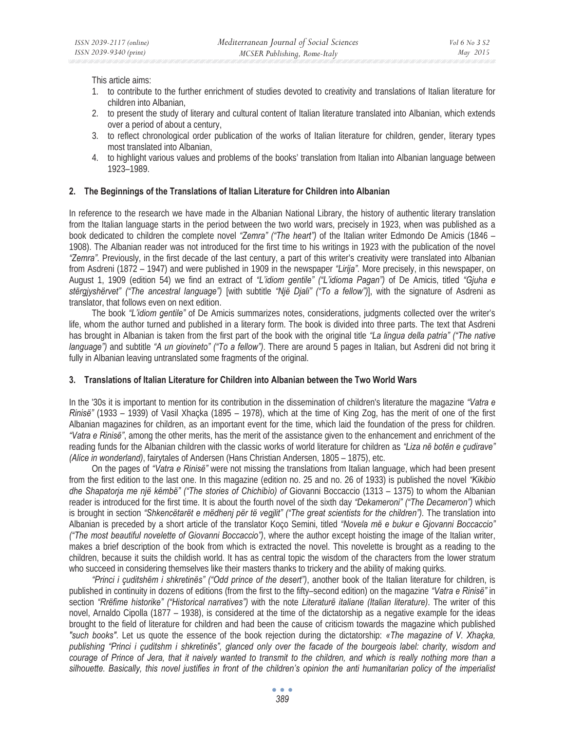This article aims:

- 1. to contribute to the further enrichment of studies devoted to creativity and translations of Italian literature for children into Albanian,
- 2. to present the study of literary and cultural content of Italian literature translated into Albanian, which extends over a period of about a century,
- 3. to reflect chronological order publication of the works of Italian literature for children, gender, literary types most translated into Albanian,
- 4. to highlight various values and problems of the books' translation from Italian into Albanian language between 1923–1989.

# **2. The Beginnings of the Translations of Italian Literature for Children into Albanian**

In reference to the research we have made in the Albanian National Library, the history of authentic literary translation from the Italian language starts in the period between the two world wars, precisely in 1923, when was published as a book dedicated to children the complete novel *"Zemra" ("The heart")* of the Italian writer Edmondo De Amicis (1846 – 1908). The Albanian reader was not introduced for the first time to his writings in 1923 with the publication of the novel *"Zemra"*. Previously, in the first decade of the last century, a part of this writer's creativity were translated into Albanian from Asdreni (1872 – 1947) and were published in 1909 in the newspaper *"Lirija"*. More precisely, in this newspaper, on August 1, 1909 (edition 54) we find an extract of *"L'idiom gentile" ("L'idioma Pagan")* of De Amicis, titled *"Gjuha e stërgjyshërvet" ("The ancestral language")* [with subtitle *"Një Djali" ("To a fellow")*], with the signature of Asdreni as translator, that follows even on next edition.

The book *"L'idiom gentile"* of De Amicis summarizes notes, considerations, judgments collected over the writer's life, whom the author turned and published in a literary form. The book is divided into three parts. The text that Asdreni has brought in Albanian is taken from the first part of the book with the original title *"La lingua della patria" ("The native language")* and subtitle *"A un giovineto" ("To a fellow")*. There are around 5 pages in Italian, but Asdreni did not bring it fully in Albanian leaving untranslated some fragments of the original.

#### **3. Translations of Italian Literature for Children into Albanian between the Two World Wars**

In the '30s it is important to mention for its contribution in the dissemination of children's literature the magazine *"Vatra e Rinisë"* (1933 – 1939) of Vasil Xhaçka (1895 – 1978), which at the time of King Zog, has the merit of one of the first Albanian magazines for children, as an important event for the time, which laid the foundation of the press for children. *"Vatra e Rinisë"*, among the other merits, has the merit of the assistance given to the enhancement and enrichment of the reading funds for the Albanian children with the classic works of world literature for children as *"Liza në botën e çudirave" (Alice in wonderland)*, fairytales of Andersen (Hans Christian Andersen, 1805 – 1875), etc.

On the pages of *"Vatra e Rinisë"* were not missing the translations from Italian language, which had been present from the first edition to the last one. In this magazine (edition no. 25 and no. 26 of 1933) is published the novel *"Kikibio dhe Shapatorja me një këmbë" ("The stories of Chichibìo) of* Giovanni Boccaccio (1313 – 1375) to whom the Albanian reader is introduced for the first time*.* It is about the fourth novel of the sixth day *"Dekameroni" ("The Decameron")* which is brought in section *"Shkencëtarët e mëdhenj për të vegjlit" ("The great scientists for the children").* The translation into Albanian is preceded by a short article of the translator Koço Semini, titled *"Novela më e bukur e Gjovanni Boccaccio" ("The most beautiful novelette of Giovanni Boccaccio")*, where the author except hoisting the image of the Italian writer, makes a brief description of the book from which is extracted the novel. This novelette is brought as a reading to the children, because it suits the childish world. It has as central topic the wisdom of the characters from the lower stratum who succeed in considering themselves like their masters thanks to trickery and the ability of making quirks.

*"Princi i çuditshëm i shkretinës" ("Odd prince of the desert")*, another book of the Italian literature for children, is published in continuity in dozens of editions (from the first to the fifty–second edition) on the magazine *"Vatra e Rinisë"* in section *"Rrëfime historike" ("Historical narratives")* with the note *Literaturë italiane (Italian literature)*. The writer of this novel, Arnaldo Cipolla (1877 – 1938), is considered at the time of the dictatorship as a negative example for the ideas brought to the field of literature for children and had been the cause of criticism towards the magazine which published *"such books"*. Let us quote the essence of the book rejection during the dictatorship: *«The magazine of V. Xhaçka, publishing "Princi i çuditshm i shkretinës", glanced only over the facade of the bourgeois label: charity, wisdom and courage of Prince of Jera, that it naively wanted to transmit to the children, and which is really nothing more than a silhouette. Basically, this novel justifies in front of the children's opinion the anti humanitarian policy of the imperialist*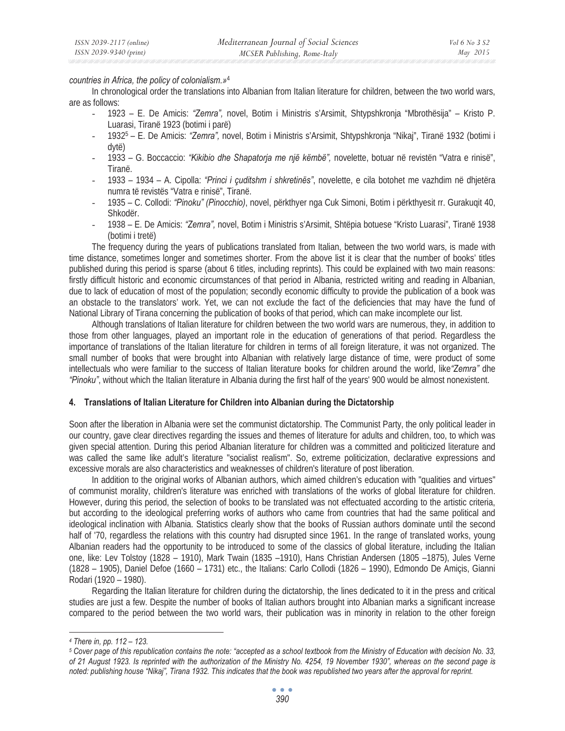### *countries in Africa, the policy of colonialism.»*4

In chronological order the translations into Albanian from Italian literature for children, between the two world wars, are as follows:

- 1923 E. De Amicis: *"Zemra",* novel, Botim i Ministris s'Arsimit, Shtypshkronja "Mbrothësija" Kristo P. Luarasi, Tiranë 1923 (botimi i parë)
- 19325 E. De Amicis: *"Zemra",* novel, Botim i Ministris s'Arsimit, Shtypshkronja "Nikaj", Tiranë 1932 (botimi i dytë)
- 1933 G. Boccaccio: *"Kikibio dhe Shapatorja me një këmbë",* novelette, botuar në revistën "Vatra e rinisë", Tiranë.
- 1933 1934 A. Cipolla: *"Princi i çuditshm i shkretinës"*, novelette, e cila botohet me vazhdim në dhjetëra numra të revistës "Vatra e rinisë", Tiranë.
- 1935 C. Collodi: *"Pinoku" (Pinocchio)*, novel, përkthyer nga Cuk Simoni, Botim i përkthyesit rr. Gurakuqit 40, Shkodër.
- 1938 E. De Amicis: *"Zemra",* novel, Botim i Ministris s'Arsimit, Shtëpia botuese "Kristo Luarasi", Tiranë 1938 (botimi i tretë)

The frequency during the years of publications translated from Italian, between the two world wars, is made with time distance, sometimes longer and sometimes shorter. From the above list it is clear that the number of books' titles published during this period is sparse (about 6 titles, including reprints). This could be explained with two main reasons: firstly difficult historic and economic circumstances of that period in Albania, restricted writing and reading in Albanian, due to lack of education of most of the population; secondly economic difficulty to provide the publication of a book was an obstacle to the translators' work. Yet, we can not exclude the fact of the deficiencies that may have the fund of National Library of Tirana concerning the publication of books of that period, which can make incomplete our list.

Although translations of Italian literature for children between the two world wars are numerous, they, in addition to those from other languages, played an important role in the education of generations of that period. Regardless the importance of translations of the Italian literature for children in terms of all foreign literature, it was not organized. The small number of books that were brought into Albanian with relatively large distance of time, were product of some intellectuals who were familiar to the success of Italian literature books for children around the world, like*"Zemra"* dhe *"Pinoku"*, without which the Italian literature in Albania during the first half of the years' 900 would be almost nonexistent.

### **4. Translations of Italian Literature for Children into Albanian during the Dictatorship**

Soon after the liberation in Albania were set the communist dictatorship. The Communist Party, the only political leader in our country, gave clear directives regarding the issues and themes of literature for adults and children, too, to which was given special attention. During this period Albanian literature for children was a committed and politicized literature and was called the same like adult's literature "socialist realism". So, extreme politicization, declarative expressions and excessive morals are also characteristics and weaknesses of children's literature of post liberation.

In addition to the original works of Albanian authors, which aimed children's education with "qualities and virtues" of communist morality, children's literature was enriched with translations of the works of global literature for children. However, during this period, the selection of books to be translated was not effectuated according to the artistic criteria, but according to the ideological preferring works of authors who came from countries that had the same political and ideological inclination with Albania. Statistics clearly show that the books of Russian authors dominate until the second half of '70, regardless the relations with this country had disrupted since 1961. In the range of translated works, young Albanian readers had the opportunity to be introduced to some of the classics of global literature, including the Italian one, like: Lev Tolstoy (1828 – 1910), Mark Twain (1835 –1910), Hans Christian Andersen (1805 –1875), Jules Verne (1828 – 1905), Daniel Defoe (1660 – 1731) etc., the Italians: Carlo Collodi (1826 – 1990), Edmondo De Amiçis, Gianni Rodari (1920 – 1980).

Regarding the Italian literature for children during the dictatorship, the lines dedicated to it in the press and critical studies are just a few. Despite the number of books of Italian authors brought into Albanian marks a significant increase compared to the period between the two world wars, their publication was in minority in relation to the other foreign

*<sup>4</sup> There in, pp. 112 – 123.* 

*<sup>5</sup> Cover page of this republication contains the note: "accepted as a school textbook from the Ministry of Education with decision No. 33, of 21 August 1923. Is reprinted with the authorization of the Ministry No. 4254, 19 November 1930", whereas on the second page is noted: publishing house "Nikaj", Tirana 1932. This indicates that the book was republished two years after the approval for reprint.*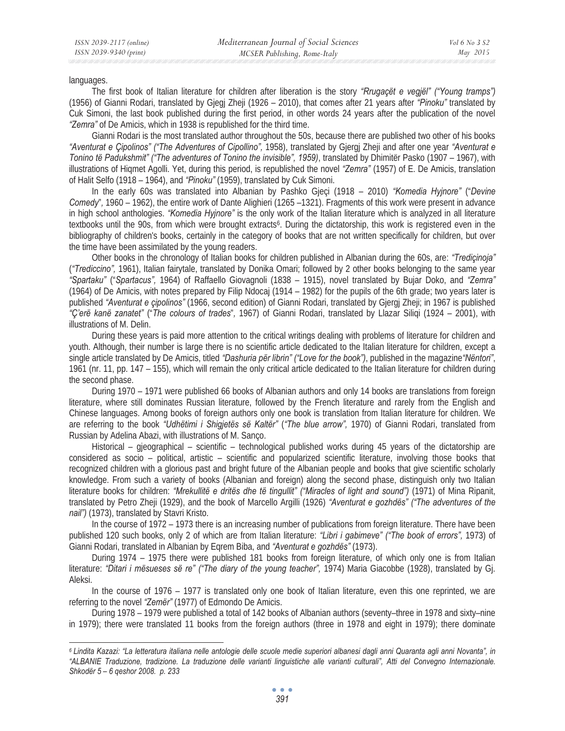languages.

The first book of Italian literature for children after liberation is the story *"Rrugaçët e vegjël" ("Young tramps")* (1956) of Gianni Rodari, translated by Gjegj Zheji (1926 – 2010), that comes after 21 years after *"Pinoku"* translated by Cuk Simoni, the last book published during the first period, in other words 24 years after the publication of the novel *"Zemra"* of De Amicis, which in 1938 is republished for the third time.

Gianni Rodari is the most translated author throughout the 50s, because there are published two other of his books *"Aventurat e Çipolinos" ("The Adventures of Cipollino",* 1958), translated by Gjergj Zheji and after one year *"Aventurat e Tonino të Padukshmit" ("The adventures of Tonino the invisible", 1959)*, translated by Dhimitër Pasko (1907 – 1967), with illustrations of Hiqmet Agolli. Yet, during this period, is republished the novel *"Zemra"* (1957) of E. De Amicis, translation of Halit Selfo (1918 – 1964), and *"Pinoku"* (1959), translated by Cuk Simoni.

In the early 60s was translated into Albanian by Pashko Gjeçi (1918 – 2010) *"Komedia Hyjnore"* ("*Devine Comedy*"*,* 1960 – 1962), the entire work of Dante Alighieri (1265 –1321). Fragments of this work were present in advance in high school anthologies. *"Komedia Hyjnore"* is the only work of the Italian literature which is analyzed in all literature textbooks until the 90s, from which were brought extracts<sup>6</sup>. During the dictatorship, this work is registered even in the bibliography of children's books, certainly in the category of books that are not written specifically for children, but over the time have been assimilated by the young readers.

Other books in the chronology of Italian books for children published in Albanian during the 60s, are: *"Trediçinoja"* (*"Trediccino",* 1961), Italian fairytale, translated by Donika Omari; followed by 2 other books belonging to the same year *"Spartaku"* ("*Spartacus",* 1964) of Raffaello Giovagnoli (1838 – 1915), novel translated by Bujar Doko, and *"Zemra"* (1964) of De Amicis, with notes prepared by Filip Ndocaj (1914 – 1982) for the pupils of the 6th grade; two years later is published *"Aventurat e çipolinos"* (1966, second edition) of Gianni Rodari, translated by Gjergj Zheji; in 1967 is published *"Ç'erë kanë zanatet"* ("*The colours of trades*"*,* 1967) of Gianni Rodari, translated by Llazar Siliqi (1924 – 2001), with illustrations of M. Delin.

During these years is paid more attention to the critical writings dealing with problems of literature for children and youth. Although, their number is large there is no scientific article dedicated to the Italian literature for children, except a single article translated by De Amicis, titled *"Dashuria për librin" ("Love for the book")*, published in the magazine*"Nëntori"*, 1961 (nr. 11, pp. 147 – 155), which will remain the only critical article dedicated to the Italian literature for children during the second phase.

During 1970 – 1971 were published 66 books of Albanian authors and only 14 books are translations from foreign literature, where still dominates Russian literature, followed by the French literature and rarely from the English and Chinese languages. Among books of foreign authors only one book is translation from Italian literature for children. We are referring to the book *"Udhëtimi i Shigjetës së Kaltër"* (*"The blue arrow",* 1970) of Gianni Rodari, translated from Russian by Adelina Abazi, with illustrations of M. Sanço.

Historical – gjeographical – scientific – technological published works during 45 years of the dictatorship are considered as socio – political, artistic – scientific and popularized scientific literature, involving those books that recognized children with a glorious past and bright future of the Albanian people and books that give scientific scholarly knowledge. From such a variety of books (Albanian and foreign) along the second phase, distinguish only two Italian literature books for children: *"Mrekullitë e dritës dhe të tingullit" ("Miracles of light and sound")* (1971) of Mina Ripanit, translated by Petro Zheji (1929), and the book of Marcello Argilli (1926) *"Aventurat e gozhdës" ("The adventures of the nail")* (1973), translated by Stavri Kristo.

In the course of 1972 – 1973 there is an increasing number of publications from foreign literature. There have been published 120 such books, only 2 of which are from Italian literature: *"Libri i gabimeve" ("The book of errors",* 1973) of Gianni Rodari, translated in Albanian by Eqrem Biba, and *"Aventurat e gozhdës"* (1973).

During 1974 – 1975 there were published 181 books from foreign literature, of which only one is from Italian literature: *"Ditari i mësueses së re" ("The diary of the young teacher",* 1974) Maria Giacobbe (1928), translated by Gj. Aleksi.

In the course of 1976 – 1977 is translated only one book of Italian literature, even this one reprinted, we are referring to the novel *"Zemër"* (1977) of Edmondo De Amicis.

During 1978 – 1979 were published a total of 142 books of Albanian authors (seventy–three in 1978 and sixty–nine in 1979); there were translated 11 books from the foreign authors (three in 1978 and eight in 1979); there dominate

*<sup>6</sup> Lindita Kazazi: "La letteratura italiana nelle antologie delle scuole medie superiori albanesi dagli anni Quaranta agli anni Novanta", in "ALBANIE Traduzione, tradizione. La traduzione delle varianti linguistiche alle varianti culturali", Atti del Convegno Internazionale. Shkodër 5 – 6 qeshor 2008. p. 233*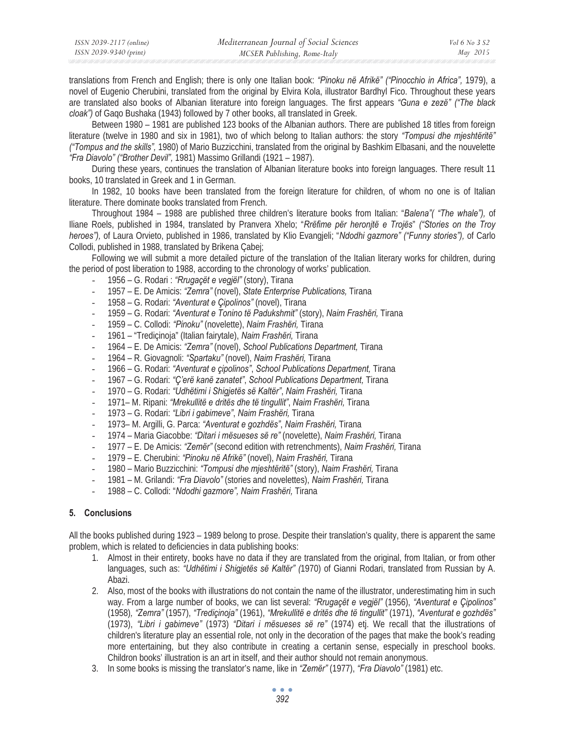| ISSN 2039-2117 (online) | Mediterranean Journal of Social Sciences | Vol 6 No 3 S2 |
|-------------------------|------------------------------------------|---------------|
| ISSN 2039-9340 (print)  | MCSER Publishing, Rome-Italy             | May 2015      |

translations from French and English; there is only one Italian book: *"Pinoku në Afrikë" ("Pinocchio in Africa",* 1979), a novel of Eugenio Cherubini, translated from the original by Elvira Kola, illustrator Bardhyl Fico. Throughout these years are translated also books of Albanian literature into foreign languages. The first appears *"Guna e zezë" ("The black cloak")* of Gaqo Bushaka (1943) followed by 7 other books, all translated in Greek.

Between 1980 – 1981 are published 123 books of the Albanian authors. There are published 18 titles from foreign literature (twelve in 1980 and six in 1981), two of which belong to Italian authors: the story *"Tompusi dhe mjeshtëritë" ("Tompus and the skills",* 1980) of Mario Buzzicchini, translated from the original by Bashkim Elbasani, and the nouvelette *"Fra Diavolo" ("Brother Devil",* 1981) Massimo Grillandi (1921 – 1987).

During these years, continues the translation of Albanian literature books into foreign languages. There result 11 books, 10 translated in Greek and 1 in German.

In 1982, 10 books have been translated from the foreign literature for children, of whom no one is of Italian literature. There dominate books translated from French.

Throughout 1984 – 1988 are published three children's literature books from Italian: "*Balena"( "The whale"),* of Iliane Roels, published in 1984, translated by Pranvera Xhelo; "*Rrëfime për heronjtë e Trojës*" *("Stories on the Troy heroes"),* of Laura Orvieto, published in 1986, translated by Klio Evangjeli; "*Ndodhi gazmore" ("Funny stories"),* of Carlo Collodi, published in 1988, translated by Brikena Çabej;

Following we will submit a more detailed picture of the translation of the Italian literary works for children, during the period of post liberation to 1988, according to the chronology of works' publication.

- 1956 G. Rodari : *"Rrugaçët e vegjël"* (story), Tirana
- 1957 E. De Amicis: *"Zemra"* (novel), *State Enterprise Publications,* Tirana
- 1958 G. Rodari: *"Aventurat e Çipolinos"* (novel), Tirana
- 1959 G. Rodari: *"Aventurat e Tonino të Padukshmit"* (story), *Naim Frashëri,* Tirana
- 1959 C. Collodi: *"Pinoku"* (novelette), *Naim Frashëri,* Tirana
- 1961 "Trediçinoja" (Italian fairytale), *Naim Frashëri,* Tirana
- 1964 E. De Amicis: *"Zemra"* (novel), *School Publications Department,* Tirana
- 1964 R. Giovagnoli: *"Spartaku"* (novel), *Naim Frashëri,* Tirana
- 1966 G. Rodari: *"Aventurat e çipolinos"*, *School Publications Department,* Tirana
- 1967 G. Rodari: *"Ç'erë kanë zanatet"*, *School Publications Department,* Tirana
- 1970 G. Rodari: *"Udhëtimi i Shigjetës së Kaltër"*, *Naim Frashëri,* Tirana
- 1971– M. Ripani: *"Mrekullitë e dritës dhe të tingullit"*, *Naim Frashëri,* Tirana
- 1973 G. Rodari: *"Libri i gabimeve"*, *Naim Frashëri,* Tirana
- 1973– M. Argilli, G. Parca: *"Aventurat e gozhdës"*, *Naim Frashëri,* Tirana
- 1974 Maria Giacobbe: *"Ditari i mësueses së re"* (novelette), *Naim Frashëri,* Tirana
- 1977 E. De Amicis: *"Zemër"* (second edition with retrenchments), *Naim Frashëri,* Tirana
- 1979 E. Cherubini: *"Pinoku në Afrikë"* (novel), *Naim Frashëri,* Tirana
- 1980 Mario Buzzicchini: *"Tompusi dhe mjeshtëritë"* (story), *Naim Frashëri,* Tirana
- 1981 M. Grilandi: *"Fra Diavolo"* (stories and novelettes), *Naim Frashëri,* Tirana
- 1988 C. Collodi: "*Ndodhi gazmore", Naim Frashëri,* Tirana

### **5. Conclusions**

All the books published during 1923 – 1989 belong to prose. Despite their translation's quality, there is apparent the same problem, which is related to deficiencies in data publishing books:

- 1. Almost in their entirety, books have no data if they are translated from the original, from Italian, or from other languages, such as: *"Udhëtimi i Shigjetës së Kaltër" (*1970) of Gianni Rodari, translated from Russian by A. Abazi.
- 2. Also, most of the books with illustrations do not contain the name of the illustrator, underestimating him in such way. From a large number of books, we can list several: *"Rrugaçët e vegjël"* (1956), *"Aventurat e Çipolinos"*  (1958)*, "Zemra"* (1957), *"Trediçinoja"* (1961), *"Mrekullitë e dritës dhe të tingullit"* (1971), *"Aventurat e gozhdës"* (1973), *"Libri i gabimeve"* (1973) *"Ditari i mësueses së re"* (1974) etj. We recall that the illustrations of children's literature play an essential role, not only in the decoration of the pages that make the book's reading more entertaining, but they also contribute in creating a certanin sense, especially in preschool books. Childron books' illustration is an art in itself, and their author should not remain anonymous.
- 3. In some books is missing the translator's name, like in *"Zemër"* (1977), *"Fra Diavolo"* (1981) etc.